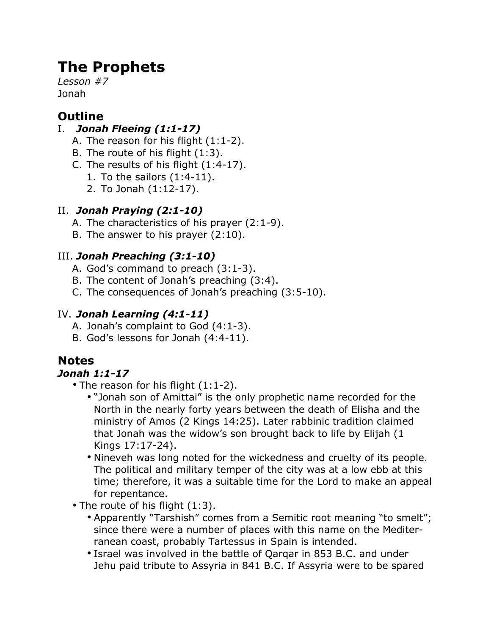# **The Prophets**

*Lesson #7* Jonah

# **Outline**

### I. *Jonah Fleeing (1:1-17)*

- A. The reason for his flight (1:1-2).
- B. The route of his flight (1:3).
- C. The results of his flight (1:4-17).
	- 1. To the sailors (1:4-11).
	- 2. To Jonah (1:12-17).

# II. *Jonah Praying (2:1-10)*

- A. The characteristics of his prayer (2:1-9).
- B. The answer to his prayer (2:10).

# III. *Jonah Preaching (3:1-10)*

- A. God's command to preach (3:1-3).
- B. The content of Jonah's preaching (3:4).
- C. The consequences of Jonah's preaching (3:5-10).

# IV. *Jonah Learning (4:1-11)*

- A. Jonah's complaint to God (4:1-3).
- B. God's lessons for Jonah (4:4-11).

# **Notes**

### *Jonah 1:1-17*

- The reason for his flight (1:1-2).
	- "Jonah son of Amittai" is the only prophetic name recorded for the North in the nearly forty years between the death of Elisha and the ministry of Amos (2 Kings 14:25). Later rabbinic tradition claimed that Jonah was the widow's son brought back to life by Elijah (1 Kings 17:17-24).
	- Nineveh was long noted for the wickedness and cruelty of its people. The political and military temper of the city was at a low ebb at this time; therefore, it was a suitable time for the Lord to make an appeal for repentance.
- The route of his flight (1:3).
	- Apparently "Tarshish" comes from a Semitic root meaning "to smelt"; since there were a number of places with this name on the Mediterranean coast, probably Tartessus in Spain is intended.
	- Israel was involved in the battle of Qarqar in 853 B.C. and under Jehu paid tribute to Assyria in 841 B.C. If Assyria were to be spared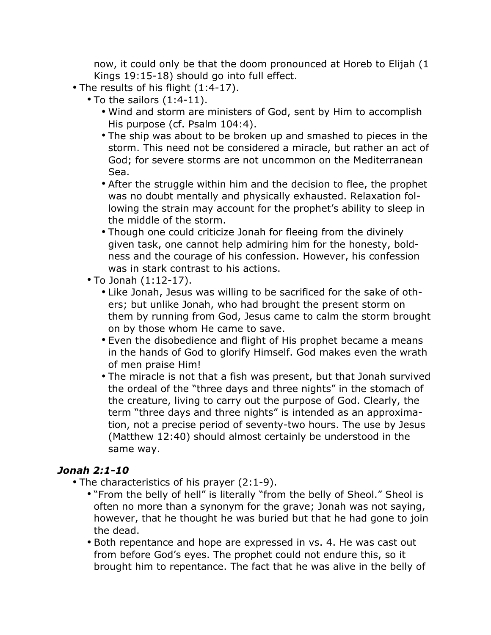now, it could only be that the doom pronounced at Horeb to Elijah (1 Kings 19:15-18) should go into full effect.

- The results of his flight (1:4-17).
	- To the sailors (1:4-11).
		- Wind and storm are ministers of God, sent by Him to accomplish His purpose (cf. Psalm 104:4).
		- The ship was about to be broken up and smashed to pieces in the storm. This need not be considered a miracle, but rather an act of God; for severe storms are not uncommon on the Mediterranean Sea.
		- After the struggle within him and the decision to flee, the prophet was no doubt mentally and physically exhausted. Relaxation following the strain may account for the prophet's ability to sleep in the middle of the storm.
		- Though one could criticize Jonah for fleeing from the divinely given task, one cannot help admiring him for the honesty, boldness and the courage of his confession. However, his confession was in stark contrast to his actions.
	- To Jonah (1:12-17).
		- Like Jonah, Jesus was willing to be sacrificed for the sake of others; but unlike Jonah, who had brought the present storm on them by running from God, Jesus came to calm the storm brought on by those whom He came to save.
		- Even the disobedience and flight of His prophet became a means in the hands of God to glorify Himself. God makes even the wrath of men praise Him!
		- The miracle is not that a fish was present, but that Jonah survived the ordeal of the "three days and three nights" in the stomach of the creature, living to carry out the purpose of God. Clearly, the term "three days and three nights" is intended as an approximation, not a precise period of seventy-two hours. The use by Jesus (Matthew 12:40) should almost certainly be understood in the same way.

#### *Jonah 2:1-10*

- The characteristics of his prayer (2:1-9).
	- "From the belly of hell" is literally "from the belly of Sheol." Sheol is often no more than a synonym for the grave; Jonah was not saying, however, that he thought he was buried but that he had gone to join the dead.
	- Both repentance and hope are expressed in vs. 4. He was cast out from before God's eyes. The prophet could not endure this, so it brought him to repentance. The fact that he was alive in the belly of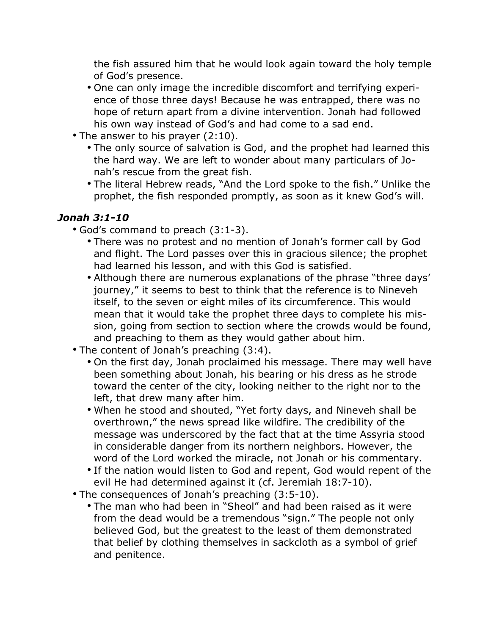the fish assured him that he would look again toward the holy temple of God's presence.

- One can only image the incredible discomfort and terrifying experience of those three days! Because he was entrapped, there was no hope of return apart from a divine intervention. Jonah had followed his own way instead of God's and had come to a sad end.
- The answer to his prayer (2:10).
	- The only source of salvation is God, and the prophet had learned this the hard way. We are left to wonder about many particulars of Jonah's rescue from the great fish.
	- The literal Hebrew reads, "And the Lord spoke to the fish." Unlike the prophet, the fish responded promptly, as soon as it knew God's will.

### *Jonah 3:1-10*

- God's command to preach (3:1-3).
	- There was no protest and no mention of Jonah's former call by God and flight. The Lord passes over this in gracious silence; the prophet had learned his lesson, and with this God is satisfied.
	- Although there are numerous explanations of the phrase "three days' journey," it seems to best to think that the reference is to Nineveh itself, to the seven or eight miles of its circumference. This would mean that it would take the prophet three days to complete his mission, going from section to section where the crowds would be found, and preaching to them as they would gather about him.
- The content of Jonah's preaching (3:4).
	- On the first day, Jonah proclaimed his message. There may well have been something about Jonah, his bearing or his dress as he strode toward the center of the city, looking neither to the right nor to the left, that drew many after him.
	- When he stood and shouted, "Yet forty days, and Nineveh shall be overthrown," the news spread like wildfire. The credibility of the message was underscored by the fact that at the time Assyria stood in considerable danger from its northern neighbors. However, the word of the Lord worked the miracle, not Jonah or his commentary.
	- If the nation would listen to God and repent, God would repent of the evil He had determined against it (cf. Jeremiah 18:7-10).
- The consequences of Jonah's preaching (3:5-10).
	- The man who had been in "Sheol" and had been raised as it were from the dead would be a tremendous "sign." The people not only believed God, but the greatest to the least of them demonstrated that belief by clothing themselves in sackcloth as a symbol of grief and penitence.